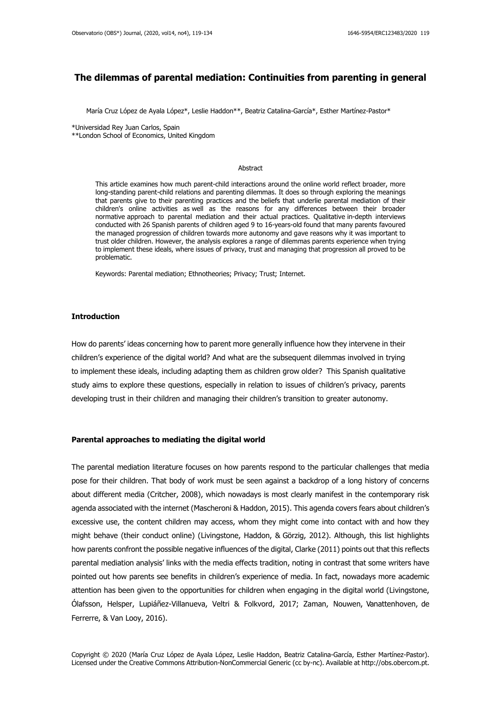# **The dilemmas of parental mediation: Continuities from parenting in general**

María Cruz López de Ayala López\*, Leslie Haddon\*\*, Beatriz Catalina-García\*, Esther Martínez-Pastor\*

\*Universidad Rey Juan Carlos, Spain

\*\*London School of Economics, United Kingdom

#### Abstract

This article examines how much parent-child interactions around the online world reflect broader, more long-standing parent-child relations and parenting dilemmas. It does so through exploring the meanings that parents give to their parenting practices and the beliefs that underlie parental mediation of their children's online activities as well as the reasons for any differences between their broader normative approach to parental mediation and their actual practices. Qualitative in-depth interviews conducted with 26 Spanish parents of children aged 9 to 16-years-old found that many parents favoured the managed progression of children towards more autonomy and gave reasons why it was important to trust older children. However, the analysis explores a range of dilemmas parents experience when trying to implement these ideals, where issues of privacy, trust and managing that progression all proved to be problematic.

Keywords: Parental mediation; Ethnotheories; Privacy; Trust; Internet.

## **Introduction**

How do parents' ideas concerning how to parent more generally influence how they intervene in their children's experience of the digital world? And what are the subsequent dilemmas involved in trying to implement these ideals, including adapting them as children grow older? This Spanish qualitative study aims to explore these questions, especially in relation to issues of children's privacy, parents developing trust in their children and managing their children's transition to greater autonomy.

## **Parental approaches to mediating the digital world**

The parental mediation literature focuses on how parents respond to the particular challenges that media pose for their children. That body of work must be seen against a backdrop of a long history of concerns about different media (Critcher, 2008), which nowadays is most clearly manifest in the contemporary risk agenda associated with the internet (Mascheroni & Haddon, 2015). This agenda covers fears about children's excessive use, the content children may access, whom they might come into contact with and how they might behave (their conduct online) (Livingstone, Haddon, & Görzig, 2012). Although, this list highlights how parents confront the possible negative influences of the digital, Clarke (2011) points out that this reflects parental mediation analysis' links with the media effects tradition, noting in contrast that some writers have pointed out how parents see benefits in children's experience of media. In fact, nowadays more academic attention has been given to the opportunities for children when engaging in the digital world (Livingstone, Ólafsson, Helsper, Lupiáñez-Villanueva, Veltri & Folkvord, 2017; Zaman, Nouwen, Vanattenhoven, de Ferrerre, & Van Looy, 2016).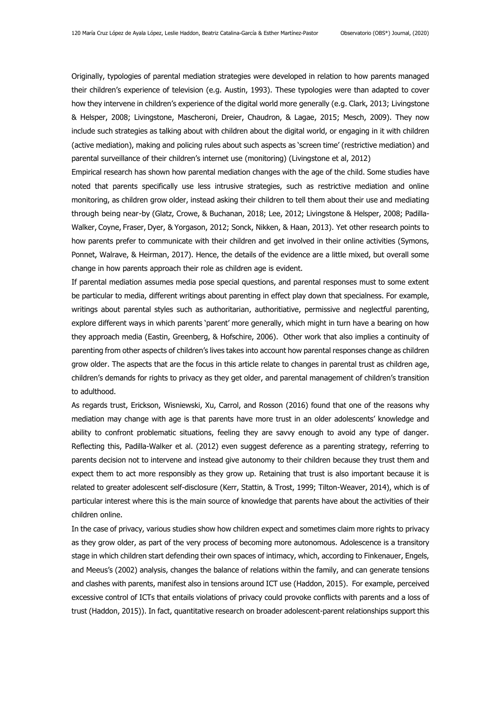Originally, typologies of parental mediation strategies were developed in relation to how parents managed their children's experience of television (e.g. Austin, 1993). These typologies were than adapted to cover how they intervene in children's experience of the digital world more generally (e.g. Clark, 2013; Livingstone & Helsper, 2008; Livingstone, Mascheroni, Dreier, Chaudron, & Lagae, 2015; Mesch, 2009). They now include such strategies as talking about with children about the digital world, or engaging in it with children (active mediation), making and policing rules about such aspects as 'screen time' (restrictive mediation) and parental surveillance of their children's internet use (monitoring) (Livingstone et al, 2012)

Empirical research has shown how parental mediation changes with the age of the child. Some studies have noted that parents specifically use less intrusive strategies, such as restrictive mediation and online monitoring, as children grow older, instead asking their children to tell them about their use and mediating through being near-by (Glatz, Crowe, & Buchanan, 2018; Lee, 2012; Livingstone & Helsper, 2008; Padilla-Walker, Coyne, Fraser, Dyer, & Yorgason, 2012; Sonck, Nikken, & Haan, 2013). Yet other research points to how parents prefer to communicate with their children and get involved in their online activities (Symons, Ponnet, Walrave, & Heirman, 2017). Hence, the details of the evidence are a little mixed, but overall some change in how parents approach their role as children age is evident.

If parental mediation assumes media pose special questions, and parental responses must to some extent be particular to media, different writings about parenting in effect play down that specialness. For example, writings about parental styles such as authoritarian, authoritiative, permissive and neglectful parenting, explore different ways in which parents 'parent' more generally, which might in turn have a bearing on how they approach media (Eastin, Greenberg, & Hofschire, 2006). Other work that also implies a continuity of parenting from other aspects of children's lives takes into account how parental responses change as children grow older. The aspects that are the focus in this article relate to changes in parental trust as children age, children's demands for rights to privacy as they get older, and parental management of children's transition to adulthood.

As regards trust, Erickson, Wisniewski, Xu, Carrol, and Rosson (2016) found that one of the reasons why mediation may change with age is that parents have more trust in an older adolescents' knowledge and ability to confront problematic situations, feeling they are savvy enough to avoid any type of danger. Reflecting this, Padilla-Walker et al. (2012) even suggest deference as a parenting strategy, referring to parents decision not to intervene and instead give autonomy to their children because they trust them and expect them to act more responsibly as they grow up. Retaining that trust is also important because it is related to greater adolescent self-disclosure (Kerr, Stattin, & Trost, 1999; Tilton-Weaver, 2014), which is of particular interest where this is the main source of knowledge that parents have about the activities of their children online.

In the case of privacy, various studies show how children expect and sometimes claim more rights to privacy as they grow older, as part of the very process of becoming more autonomous. Adolescence is a transitory stage in which children start defending their own spaces of intimacy, which, according to Finkenauer, Engels, and Meeus's (2002) analysis, changes the balance of relations within the family, and can generate tensions and clashes with parents, manifest also in tensions around ICT use (Haddon, 2015). For example, perceived excessive control of ICTs that entails violations of privacy could provoke conflicts with parents and a loss of trust (Haddon, 2015)). In fact, quantitative research on broader adolescent-parent relationships support this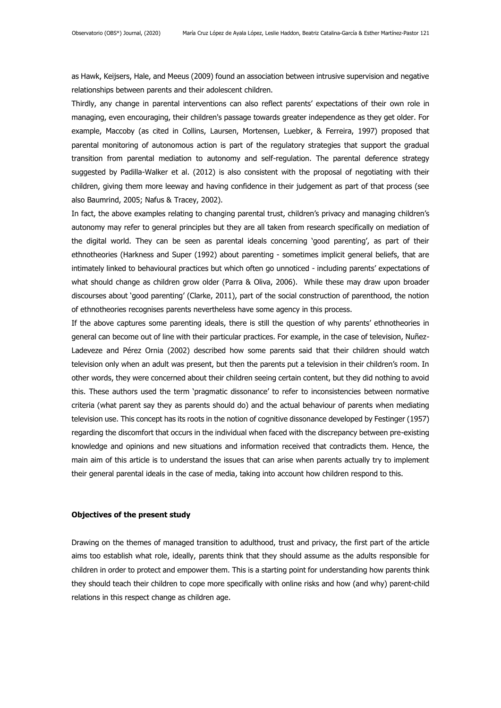as Hawk, Keijsers, Hale, and Meeus (2009) found an association between intrusive supervision and negative relationships between parents and their adolescent children.

Thirdly, any change in parental interventions can also reflect parents' expectations of their own role in managing, even encouraging, their children's passage towards greater independence as they get older. For example, Maccoby (as cited in Collins, Laursen, Mortensen, Luebker, & Ferreira, 1997) proposed that parental monitoring of autonomous action is part of the regulatory strategies that support the gradual transition from parental mediation to autonomy and self-regulation. The parental deference strategy suggested by Padilla-Walker et al. (2012) is also consistent with the proposal of negotiating with their children, giving them more leeway and having confidence in their judgement as part of that process (see also Baumrind, 2005; Nafus & Tracey, 2002).

In fact, the above examples relating to changing parental trust, children's privacy and managing children's autonomy may refer to general principles but they are all taken from research specifically on mediation of the digital world. They can be seen as parental ideals concerning 'good parenting', as part of their ethnotheories (Harkness and Super (1992) about parenting - sometimes implicit general beliefs, that are intimately linked to behavioural practices but which often go unnoticed - including parents' expectations of what should change as children grow older (Parra & Oliva, 2006). While these may draw upon broader discourses about 'good parenting' (Clarke, 2011), part of the social construction of parenthood, the notion of ethnotheories recognises parents nevertheless have some agency in this process.

If the above captures some parenting ideals, there is still the question of why parents' ethnotheories in general can become out of line with their particular practices. For example, in the case of television, Nuñez-Ladeveze and Pérez Ornia (2002) described how some parents said that their children should watch television only when an adult was present, but then the parents put a television in their children's room. In other words, they were concerned about their children seeing certain content, but they did nothing to avoid this. These authors used the term 'pragmatic dissonance' to refer to inconsistencies between normative criteria (what parent say they as parents should do) and the actual behaviour of parents when mediating television use. This concept has its roots in the notion of cognitive dissonance developed by Festinger (1957) regarding the discomfort that occurs in the individual when faced with the discrepancy between pre-existing knowledge and opinions and new situations and information received that contradicts them. Hence, the main aim of this article is to understand the issues that can arise when parents actually try to implement their general parental ideals in the case of media, taking into account how children respond to this.

## **Objectives of the present study**

Drawing on the themes of managed transition to adulthood, trust and privacy, the first part of the article aims too establish what role, ideally, parents think that they should assume as the adults responsible for children in order to protect and empower them. This is a starting point for understanding how parents think they should teach their children to cope more specifically with online risks and how (and why) parent-child relations in this respect change as children age.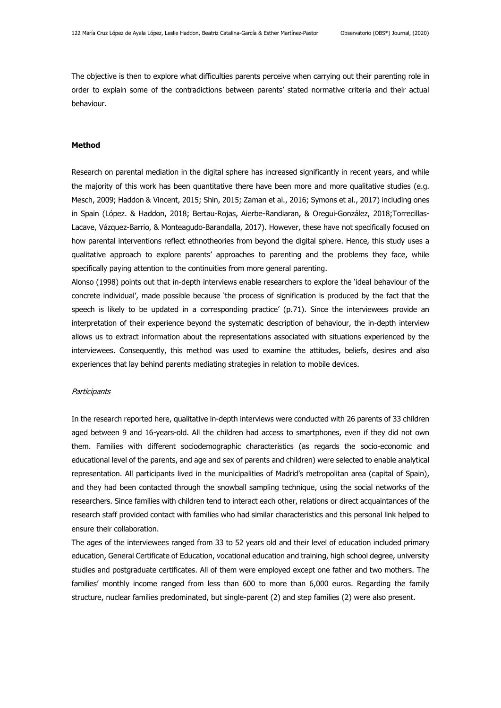The objective is then to explore what difficulties parents perceive when carrying out their parenting role in order to explain some of the contradictions between parents' stated normative criteria and their actual behaviour.

# **Method**

Research on parental mediation in the digital sphere has increased significantly in recent years, and while the majority of this work has been quantitative there have been more and more qualitative studies (e.g. Mesch, 2009; Haddon & Vincent, 2015; Shin, 2015; Zaman et al., 2016; Symons et al., 2017) including ones in Spain (López. & Haddon, 2018; Bertau-Rojas, Aierbe-Randiaran, & Oregui-González, 2018;Torrecillas-Lacave, Vázquez-Barrio, & Monteagudo-Barandalla, 2017). However, these have not specifically focused on how parental interventions reflect ethnotheories from beyond the digital sphere. Hence, this study uses a qualitative approach to explore parents' approaches to parenting and the problems they face, while specifically paying attention to the continuities from more general parenting.

Alonso (1998) points out that in-depth interviews enable researchers to explore the 'ideal behaviour of the concrete individual', made possible because 'the process of signification is produced by the fact that the speech is likely to be updated in a corresponding practice' (p.71). Since the interviewees provide an interpretation of their experience beyond the systematic description of behaviour, the in-depth interview allows us to extract information about the representations associated with situations experienced by the interviewees. Consequently, this method was used to examine the attitudes, beliefs, desires and also experiences that lay behind parents mediating strategies in relation to mobile devices.

#### **Participants**

In the research reported here, qualitative in-depth interviews were conducted with 26 parents of 33 children aged between 9 and 16-years-old. All the children had access to smartphones, even if they did not own them. Families with different sociodemographic characteristics (as regards the socio-economic and educational level of the parents, and age and sex of parents and children) were selected to enable analytical representation. All participants lived in the municipalities of Madrid's metropolitan area (capital of Spain), and they had been contacted through the snowball sampling technique, using the social networks of the researchers. Since families with children tend to interact each other, relations or direct acquaintances of the research staff provided contact with families who had similar characteristics and this personal link helped to ensure their collaboration.

The ages of the interviewees ranged from 33 to 52 years old and their level of education included primary education, General Certificate of Education, vocational education and training, high school degree, university studies and postgraduate certificates. All of them were employed except one father and two mothers. The families' monthly income ranged from less than 600 to more than 6,000 euros. Regarding the family structure, nuclear families predominated, but single-parent (2) and step families (2) were also present.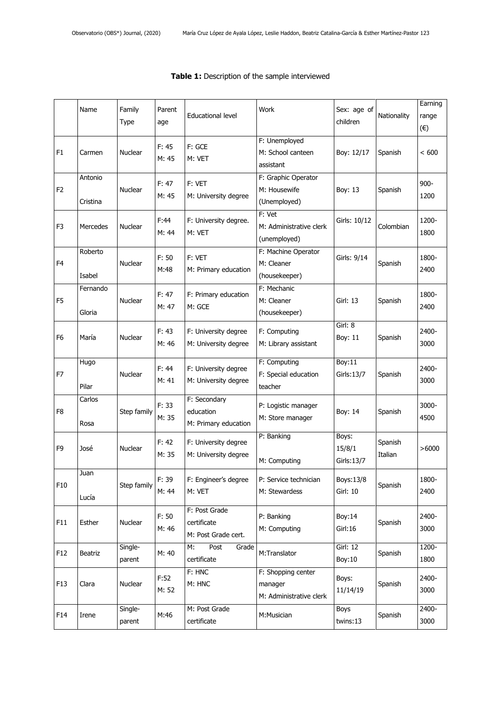|                | Name                | Family<br>Type    | Parent<br>age  | Educational level                                   | Work                                                     | Sex: age of<br>children        | Nationality        | Earning<br>range<br>$(\epsilon)$ |
|----------------|---------------------|-------------------|----------------|-----------------------------------------------------|----------------------------------------------------------|--------------------------------|--------------------|----------------------------------|
| F <sub>1</sub> | Carmen              | Nuclear           | F: 45<br>M: 45 | F: GCE<br>M: VET                                    | F: Unemployed<br>M: School canteen<br>assistant          | Boy: 12/17                     | Spanish            | < 600                            |
| F <sub>2</sub> | Antonio<br>Cristina | Nuclear           | F: 47<br>M: 45 | F: VET<br>M: University degree                      | F: Graphic Operator<br>M: Housewife<br>(Unemployed)      | Boy: 13                        | Spanish            | $900 -$<br>1200                  |
| F3             | Mercedes            | <b>Nuclear</b>    | F:44<br>M: 44  | F: University degree.<br>M: VET                     | F: Vet<br>M: Administrative clerk<br>(unemployed)        | Girls: 10/12                   | Colombian          | 1200-<br>1800                    |
| F <sub>4</sub> | Roberto<br>Isabel   | Nuclear           | F: 50<br>M:48  | F: VET<br>M: Primary education                      | F: Machine Operator<br>M: Cleaner<br>(housekeeper)       | Girls: 9/14                    | Spanish            | 1800-<br>2400                    |
| F <sub>5</sub> | Fernando<br>Gloria  | Nuclear           | F: 47<br>M: 47 | F: Primary education<br>M: GCE                      | F: Mechanic<br>M: Cleaner<br>(housekeeper)               | Girl: 13                       | Spanish            | 1800-<br>2400                    |
| F <sub>6</sub> | María               | <b>Nuclear</b>    | F: 43<br>M: 46 | F: University degree<br>M: University degree        | F: Computing<br>M: Library assistant                     | Girl: 8<br>Boy: 11             | Spanish            | 2400-<br>3000                    |
| F7             | Hugo<br>Pilar       | Nuclear           | F: 44<br>M: 41 | F: University degree<br>M: University degree        | F: Computing<br>F: Special education<br>teacher          | Boy:11<br>Girls: 13/7          | Spanish            | 2400-<br>3000                    |
| F8             | Carlos<br>Rosa      | Step family       | F: 33<br>M: 35 | F: Secondary<br>education<br>M: Primary education   | P: Logistic manager<br>M: Store manager                  | Boy: 14                        | Spanish            | 3000-<br>4500                    |
| F <sub>9</sub> | José                | <b>Nuclear</b>    | F: 42<br>M: 35 | F: University degree<br>M: University degree        | P: Banking<br>M: Computing                               | Boys:<br>15/8/1<br>Girls: 13/7 | Spanish<br>Italian | >6000                            |
| F10            | Juan<br>Lucía       | Step family       | F: 39<br>M: 44 | F: Engineer's degree<br>M: VET                      | P: Service technician<br>M: Stewardess                   | Boys:13/8<br>Girl: 10          | Spanish            | 1800-<br>2400                    |
| F11            | Esther              | Nuclear           | F: 50<br>M: 46 | F: Post Grade<br>certificate<br>M: Post Grade cert. | P: Banking<br>M: Computing                               | Boy:14<br>Girl: 16             | Spanish            | 2400-<br>3000                    |
| F12            | <b>Beatriz</b>      | Single-<br>parent | M: 40          | Post<br>M:<br>Grade<br>certificate                  | M:Translator                                             | <b>Girl: 12</b><br>Boy: 10     | Spanish            | 1200-<br>1800                    |
| F13            | Clara               | Nuclear           | F:52<br>M: 52  | F: HNC<br>M: HNC                                    | F: Shopping center<br>manager<br>M: Administrative clerk | Boys:<br>11/14/19              | Spanish            | 2400-<br>3000                    |
| F14            | Irene               | Single-<br>parent | M:46           | M: Post Grade<br>certificate                        | M:Musician                                               | Boys<br>twins:13               | Spanish            | 2400-<br>3000                    |

# **Table 1:** Description of the sample interviewed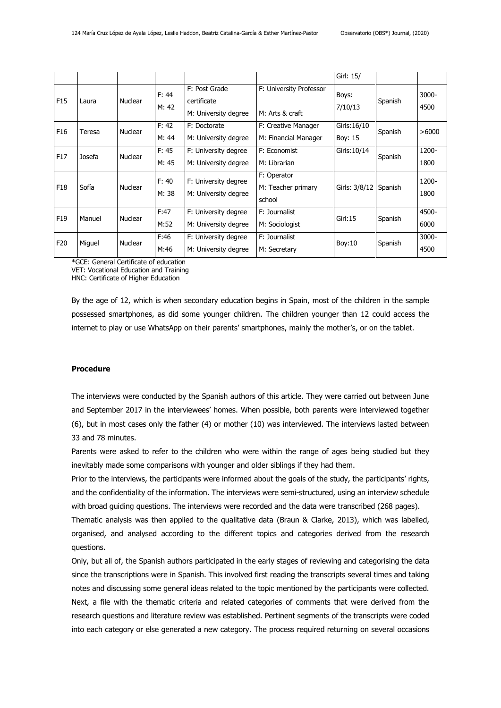|                 |        |                |                |                                                      |                                             | Girl: 15/               |         |               |
|-----------------|--------|----------------|----------------|------------------------------------------------------|---------------------------------------------|-------------------------|---------|---------------|
| F <sub>15</sub> | Laura  | <b>Nuclear</b> | F: 44<br>M: 42 | F: Post Grade<br>certificate<br>M: University degree | F: University Professor<br>M: Arts & craft  | Boys:<br>7/10/13        | Spanish | 3000-<br>4500 |
| F <sub>16</sub> | Teresa | <b>Nuclear</b> | F: 42<br>M: 44 | F: Doctorate<br>M: University degree                 | F: Creative Manager<br>M: Financial Manager | Girls: 16/10<br>Boy: 15 | Spanish | >6000         |
| F17             | Josefa | Nuclear        | F: 45<br>M: 45 | F: University degree<br>M: University degree         | F: Economist<br>M: Librarian                | Girls: 10/14            | Spanish | 1200-<br>1800 |
| F <sub>18</sub> | Sofía  | <b>Nuclear</b> | F: 40<br>M: 38 | F: University degree<br>M: University degree         | F: Operator<br>M: Teacher primary<br>school | Girls: 3/8/12           | Spanish | 1200-<br>1800 |
| F <sub>19</sub> | Manuel | Nuclear        | F:47<br>M:52   | F: University degree<br>M: University degree         | F: Journalist<br>M: Sociologist             | Girl:15                 | Spanish | 4500-<br>6000 |
| F20             | Miguel | <b>Nuclear</b> | F:46<br>M:46   | F: University degree<br>M: University degree         | F: Journalist<br>M: Secretary               | Boy: 10                 | Spanish | 3000-<br>4500 |

\*GCE: General Certificate of education

VET: Vocational Education and Training HNC: Certificate of Higher Education

By the age of 12, which is when secondary education begins in Spain, most of the children in the sample possessed smartphones, as did some younger children. The children younger than 12 could access the internet to play or use WhatsApp on their parents' smartphones, mainly the mother's, or on the tablet.

### **Procedure**

The interviews were conducted by the Spanish authors of this article. They were carried out between June and September 2017 in the interviewees' homes. When possible, both parents were interviewed together (6), but in most cases only the father (4) or mother (10) was interviewed. The interviews lasted between 33 and 78 minutes.

Parents were asked to refer to the children who were within the range of ages being studied but they inevitably made some comparisons with younger and older siblings if they had them.

Prior to the interviews, the participants were informed about the goals of the study, the participants' rights, and the confidentiality of the information. The interviews were semi-structured, using an interview schedule with broad guiding questions. The interviews were recorded and the data were transcribed (268 pages).

Thematic analysis was then applied to the qualitative data (Braun & Clarke, 2013), which was labelled, organised, and analysed according to the different topics and categories derived from the research questions.

Only, but all of, the Spanish authors participated in the early stages of reviewing and categorising the data since the transcriptions were in Spanish. This involved first reading the transcripts several times and taking notes and discussing some general ideas related to the topic mentioned by the participants were collected. Next, a file with the thematic criteria and related categories of comments that were derived from the research questions and literature review was established. Pertinent segments of the transcripts were coded into each category or else generated a new category. The process required returning on several occasions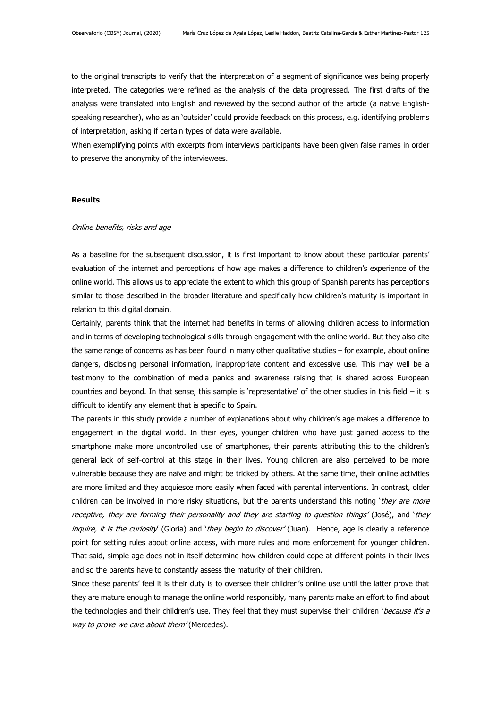to the original transcripts to verify that the interpretation of a segment of significance was being properly interpreted. The categories were refined as the analysis of the data progressed. The first drafts of the analysis were translated into English and reviewed by the second author of the article (a native Englishspeaking researcher), who as an 'outsider' could provide feedback on this process, e.g. identifying problems of interpretation, asking if certain types of data were available.

When exemplifying points with excerpts from interviews participants have been given false names in order to preserve the anonymity of the interviewees.

#### **Results**

#### Online benefits, risks and age

As a baseline for the subsequent discussion, it is first important to know about these particular parents' evaluation of the internet and perceptions of how age makes a difference to children's experience of the online world. This allows us to appreciate the extent to which this group of Spanish parents has perceptions similar to those described in the broader literature and specifically how children's maturity is important in relation to this digital domain.

Certainly, parents think that the internet had benefits in terms of allowing children access to information and in terms of developing technological skills through engagement with the online world. But they also cite the same range of concerns as has been found in many other qualitative studies – for example, about online dangers, disclosing personal information, inappropriate content and excessive use. This may well be a testimony to the combination of media panics and awareness raising that is shared across European countries and beyond. In that sense, this sample is 'representative' of the other studies in this field – it is difficult to identify any element that is specific to Spain.

The parents in this study provide a number of explanations about why children's age makes a difference to engagement in the digital world. In their eyes, younger children who have just gained access to the smartphone make more uncontrolled use of smartphones, their parents attributing this to the children's general lack of self-control at this stage in their lives. Young children are also perceived to be more vulnerable because they are naïve and might be tricked by others. At the same time, their online activities are more limited and they acquiesce more easily when faced with parental interventions. In contrast, older children can be involved in more risky situations, but the parents understand this noting 'they are more receptive, they are forming their personality and they are starting to question things' (José), and 'they inquire, it is the curiosity (Gloria) and 'they begin to discover' (Juan). Hence, age is clearly a reference point for setting rules about online access, with more rules and more enforcement for younger children. That said, simple age does not in itself determine how children could cope at different points in their lives and so the parents have to constantly assess the maturity of their children.

Since these parents' feel it is their duty is to oversee their children's online use until the latter prove that they are mature enough to manage the online world responsibly, many parents make an effort to find about the technologies and their children's use. They feel that they must supervise their children 'because it's a way to prove we care about them' (Mercedes).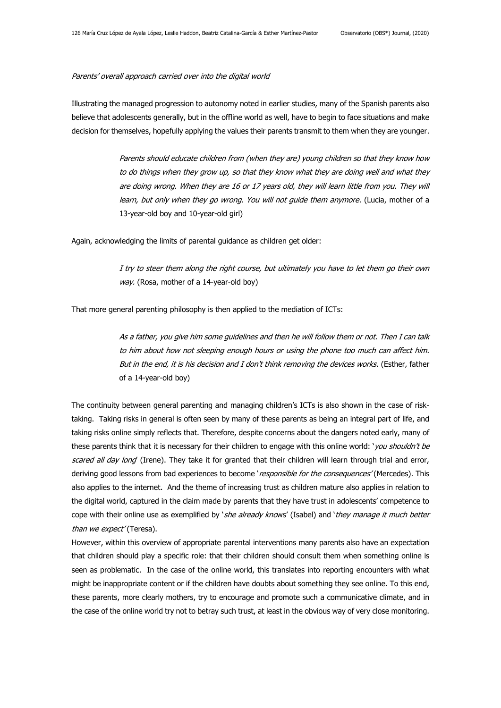#### Parents' overall approach carried over into the digital world

Illustrating the managed progression to autonomy noted in earlier studies, many of the Spanish parents also believe that adolescents generally, but in the offline world as well, have to begin to face situations and make decision for themselves, hopefully applying the values their parents transmit to them when they are younger.

> Parents should educate children from (when they are) young children so that they know how to do things when they grow up, so that they know what they are doing well and what they are doing wrong. When they are 16 or 17 years old, they will learn little from you. They will learn, but only when they go wrong. You will not guide them anymore. (Lucia, mother of a 13-year-old boy and 10-year-old girl)

Again, acknowledging the limits of parental guidance as children get older:

I try to steer them along the right course, but ultimately you have to let them go their own way. (Rosa, mother of a 14-year-old boy)

That more general parenting philosophy is then applied to the mediation of ICTs:

As a father, you give him some guidelines and then he will follow them or not. Then I can talk to him about how not sleeping enough hours or using the phone too much can affect him. But in the end, it is his decision and I don't think removing the devices works. (Esther, father of a 14-year-old boy)

The continuity between general parenting and managing children's ICTs is also shown in the case of risktaking. Taking risks in general is often seen by many of these parents as being an integral part of life, and taking risks online simply reflects that. Therefore, despite concerns about the dangers noted early, many of these parents think that it is necessary for their children to engage with this online world: '*you shouldn't be* scared all day long (Irene). They take it for granted that their children will learn through trial and error, deriving good lessons from bad experiences to become 'responsible for the consequences' (Mercedes). This also applies to the internet. And the theme of increasing trust as children mature also applies in relation to the digital world, captured in the claim made by parents that they have trust in adolescents' competence to cope with their online use as exemplified by 'she already knows' (Isabel) and 'they manage it much better than we expect' (Teresa).

However, within this overview of appropriate parental interventions many parents also have an expectation that children should play a specific role: that their children should consult them when something online is seen as problematic. In the case of the online world, this translates into reporting encounters with what might be inappropriate content or if the children have doubts about something they see online. To this end, these parents, more clearly mothers, try to encourage and promote such a communicative climate, and in the case of the online world try not to betray such trust, at least in the obvious way of very close monitoring.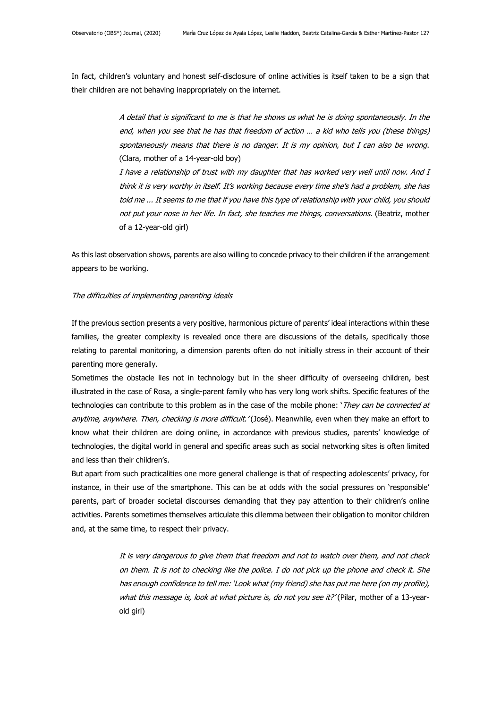In fact, children's voluntary and honest self-disclosure of online activities is itself taken to be a sign that their children are not behaving inappropriately on the internet.

> A detail that is significant to me is that he shows us what he is doing spontaneously. In the end, when you see that he has that freedom of action … a kid who tells you (these things) spontaneously means that there is no danger. It is my opinion, but I can also be wrong. (Clara, mother of a 14-year-old boy)

> I have a relationship of trust with my daughter that has worked very well until now. And I think it is very worthy in itself. It's working because every time she's had a problem, she has told me ... It seems to me that if you have this type of relationship with your child, you should not put your nose in her life. In fact, she teaches me things, conversations. (Beatriz, mother of a 12-year-old girl)

As this last observation shows, parents are also willing to concede privacy to their children if the arrangement appears to be working.

### The difficulties of implementing parenting ideals

If the previous section presents a very positive, harmonious picture of parents' ideal interactions within these families, the greater complexity is revealed once there are discussions of the details, specifically those relating to parental monitoring, a dimension parents often do not initially stress in their account of their parenting more generally.

Sometimes the obstacle lies not in technology but in the sheer difficulty of overseeing children, best illustrated in the case of Rosa, a single-parent family who has very long work shifts. Specific features of the technologies can contribute to this problem as in the case of the mobile phone: 'They can be connected at anytime, anywhere. Then, checking is more difficult.'(José). Meanwhile, even when they make an effort to know what their children are doing online, in accordance with previous studies, parents' knowledge of technologies, the digital world in general and specific areas such as social networking sites is often limited and less than their children's.

But apart from such practicalities one more general challenge is that of respecting adolescents' privacy, for instance, in their use of the smartphone. This can be at odds with the social pressures on 'responsible' parents, part of broader societal discourses demanding that they pay attention to their children's online activities. Parents sometimes themselves articulate this dilemma between their obligation to monitor children and, at the same time, to respect their privacy.

> It is very dangerous to give them that freedom and not to watch over them, and not check on them. It is not to checking like the police. I do not pick up the phone and check it. She has enough confidence to tell me: 'Look what (my friend) she has put me here (on my profile), what this message is, look at what picture is, do not you see it?' (Pilar, mother of a 13-yearold girl)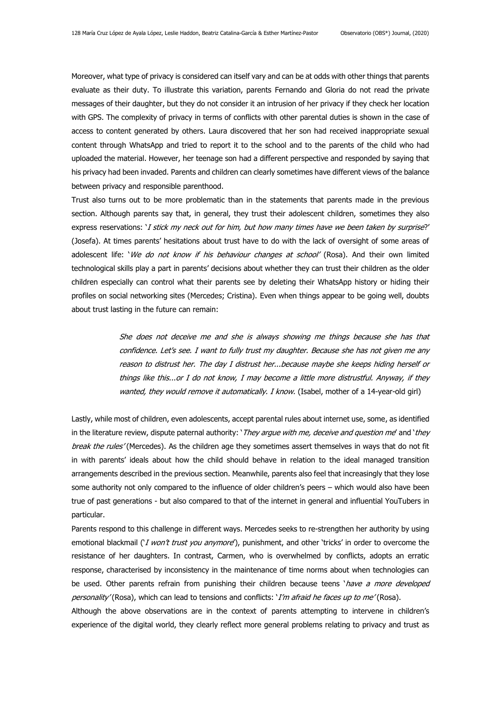Moreover, what type of privacy is considered can itself vary and can be at odds with other things that parents evaluate as their duty. To illustrate this variation, parents Fernando and Gloria do not read the private messages of their daughter, but they do not consider it an intrusion of her privacy if they check her location with GPS. The complexity of privacy in terms of conflicts with other parental duties is shown in the case of access to content generated by others. Laura discovered that her son had received inappropriate sexual content through WhatsApp and tried to report it to the school and to the parents of the child who had uploaded the material. However, her teenage son had a different perspective and responded by saying that his privacy had been invaded. Parents and children can clearly sometimes have different views of the balance between privacy and responsible parenthood.

Trust also turns out to be more problematic than in the statements that parents made in the previous section. Although parents say that, in general, they trust their adolescent children, sometimes they also express reservations: *'I stick my neck out for him, but how many times have we been taken by surprise?'* (Josefa). At times parents' hesitations about trust have to do with the lack of oversight of some areas of adolescent life: 'We do not know if his behaviour changes at school' (Rosa). And their own limited technological skills play a part in parents' decisions about whether they can trust their children as the older children especially can control what their parents see by deleting their WhatsApp history or hiding their profiles on social networking sites (Mercedes; Cristina). Even when things appear to be going well, doubts about trust lasting in the future can remain:

> She does not deceive me and she is always showing me things because she has that confidence. Let's see. I want to fully trust my daughter. Because she has not given me any reason to distrust her. The day I distrust her...because maybe she keeps hiding herself or things like this...or I do not know, I may become a little more distrustful. Anyway, if they wanted, they would remove it automatically. I know. (Isabel, mother of a 14-year-old girl)

Lastly, while most of children, even adolescents, accept parental rules about internet use, some, as identified in the literature review, dispute paternal authority: 'They argue with me, deceive and question me' and 'they break the rules' (Mercedes). As the children age they sometimes assert themselves in ways that do not fit in with parents' ideals about how the child should behave in relation to the ideal managed transition arrangements described in the previous section. Meanwhile, parents also feel that increasingly that they lose some authority not only compared to the influence of older children's peers – which would also have been true of past generations - but also compared to that of the internet in general and influential YouTubers in particular.

Parents respond to this challenge in different ways. Mercedes seeks to re-strengthen her authority by using emotional blackmail ('*I won't trust you anymore*'), punishment, and other 'tricks' in order to overcome the resistance of her daughters. In contrast, Carmen, who is overwhelmed by conflicts, adopts an erratic response, characterised by inconsistency in the maintenance of time norms about when technologies can be used. Other parents refrain from punishing their children because teens 'have a more developed personality' (Rosa), which can lead to tensions and conflicts: 'I'm afraid he faces up to me' (Rosa).

Although the above observations are in the context of parents attempting to intervene in children's experience of the digital world, they clearly reflect more general problems relating to privacy and trust as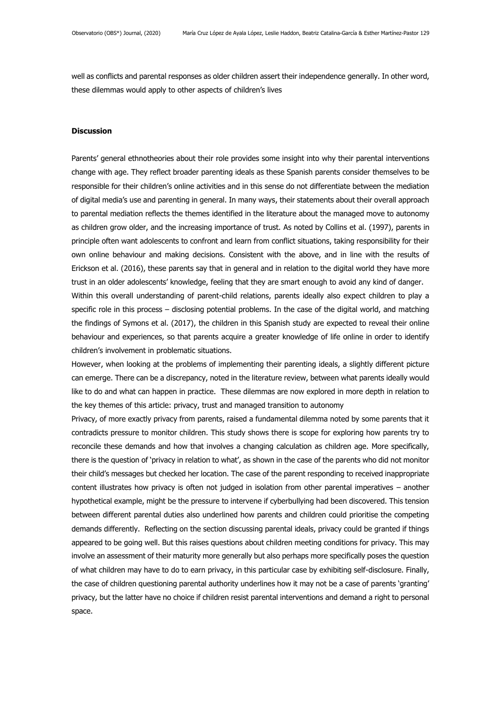well as conflicts and parental responses as older children assert their independence generally. In other word, these dilemmas would apply to other aspects of children's lives

#### **Discussion**

Parents' general ethnotheories about their role provides some insight into why their parental interventions change with age. They reflect broader parenting ideals as these Spanish parents consider themselves to be responsible for their children's online activities and in this sense do not differentiate between the mediation of digital media's use and parenting in general. In many ways, their statements about their overall approach to parental mediation reflects the themes identified in the literature about the managed move to autonomy as children grow older, and the increasing importance of trust. As noted by Collins et al. (1997), parents in principle often want adolescents to confront and learn from conflict situations, taking responsibility for their own online behaviour and making decisions. Consistent with the above, and in line with the results of Erickson et al. (2016), these parents say that in general and in relation to the digital world they have more trust in an older adolescents' knowledge, feeling that they are smart enough to avoid any kind of danger.

Within this overall understanding of parent-child relations, parents ideally also expect children to play a specific role in this process – disclosing potential problems. In the case of the digital world, and matching the findings of Symons et al. (2017), the children in this Spanish study are expected to reveal their online behaviour and experiences, so that parents acquire a greater knowledge of life online in order to identify children's involvement in problematic situations.

However, when looking at the problems of implementing their parenting ideals, a slightly different picture can emerge. There can be a discrepancy, noted in the literature review, between what parents ideally would like to do and what can happen in practice. These dilemmas are now explored in more depth in relation to the key themes of this article: privacy, trust and managed transition to autonomy

Privacy, of more exactly privacy from parents, raised a fundamental dilemma noted by some parents that it contradicts pressure to monitor children. This study shows there is scope for exploring how parents try to reconcile these demands and how that involves a changing calculation as children age. More specifically, there is the question of 'privacy in relation to what', as shown in the case of the parents who did not monitor their child's messages but checked her location. The case of the parent responding to received inappropriate content illustrates how privacy is often not judged in isolation from other parental imperatives – another hypothetical example, might be the pressure to intervene if cyberbullying had been discovered. This tension between different parental duties also underlined how parents and children could prioritise the competing demands differently. Reflecting on the section discussing parental ideals, privacy could be granted if things appeared to be going well. But this raises questions about children meeting conditions for privacy. This may involve an assessment of their maturity more generally but also perhaps more specifically poses the question of what children may have to do to earn privacy, in this particular case by exhibiting self-disclosure. Finally, the case of children questioning parental authority underlines how it may not be a case of parents 'granting' privacy, but the latter have no choice if children resist parental interventions and demand a right to personal space.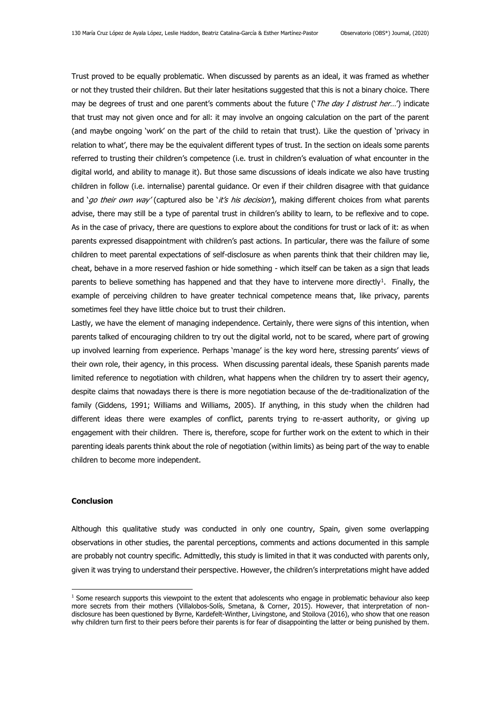Trust proved to be equally problematic. When discussed by parents as an ideal, it was framed as whether or not they trusted their children. But their later hesitations suggested that this is not a binary choice. There may be degrees of trust and one parent's comments about the future ('The day I distrust her...') indicate that trust may not given once and for all: it may involve an ongoing calculation on the part of the parent (and maybe ongoing 'work' on the part of the child to retain that trust). Like the question of 'privacy in relation to what', there may be the equivalent different types of trust. In the section on ideals some parents referred to trusting their children's competence (i.e. trust in children's evaluation of what encounter in the digital world, and ability to manage it). But those same discussions of ideals indicate we also have trusting children in follow (i.e. internalise) parental guidance. Or even if their children disagree with that guidance and '*go their own way'* (captured also be '*it's his decision'*), making different choices from what parents advise, there may still be a type of parental trust in children's ability to learn, to be reflexive and to cope. As in the case of privacy, there are questions to explore about the conditions for trust or lack of it: as when parents expressed disappointment with children's past actions. In particular, there was the failure of some children to meet parental expectations of self-disclosure as when parents think that their children may lie, cheat, behave in a more reserved fashion or hide something - which itself can be taken as a sign that leads parents to believe something has happened and that they have to intervene more directly<sup>1</sup>. Finally, the example of perceiving children to have greater technical competence means that, like privacy, parents sometimes feel they have little choice but to trust their children.

Lastly, we have the element of managing independence. Certainly, there were signs of this intention, when parents talked of encouraging children to try out the digital world, not to be scared, where part of growing up involved learning from experience. Perhaps 'manage' is the key word here, stressing parents' views of their own role, their agency, in this process. When discussing parental ideals, these Spanish parents made limited reference to negotiation with children, what happens when the children try to assert their agency, despite claims that nowadays there is there is more negotiation because of the de-traditionalization of the family (Giddens, 1991; Williams and Williams, 2005). If anything, in this study when the children had different ideas there were examples of conflict, parents trying to re-assert authority, or giving up engagement with their children. There is, therefore, scope for further work on the extent to which in their parenting ideals parents think about the role of negotiation (within limits) as being part of the way to enable children to become more independent.

## **Conclusion**

Although this qualitative study was conducted in only one country, Spain, given some overlapping observations in other studies, the parental perceptions, comments and actions documented in this sample are probably not country specific. Admittedly, this study is limited in that it was conducted with parents only, given it was trying to understand their perspective. However, the children's interpretations might have added

 $1$  Some research supports this viewpoint to the extent that adolescents who engage in problematic behaviour also keep more secrets from their mothers (Villalobos-Solís, Smetana, & Corner, 2015). However, that interpretation of nondisclosure has been questioned by Byrne, Kardefelt-Winther, Livingstone, and Stoilova (2016), who show that one reason why children turn first to their peers before their parents is for fear of disappointing the latter or being punished by them.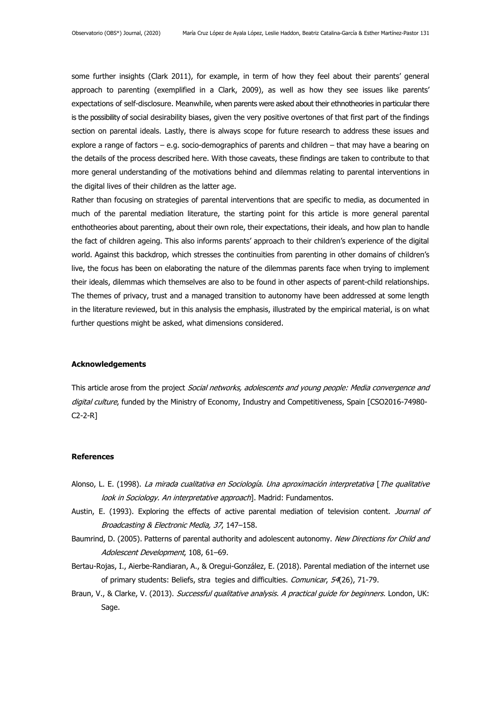some further insights (Clark 2011), for example, in term of how they feel about their parents' general approach to parenting (exemplified in a Clark, 2009), as well as how they see issues like parents' expectations of self-disclosure. Meanwhile, when parents were asked about their ethnotheories in particular there is the possibility of social desirability biases, given the very positive overtones of that first part of the findings section on parental ideals. Lastly, there is always scope for future research to address these issues and explore a range of factors – e.g. socio-demographics of parents and children – that may have a bearing on the details of the process described here. With those caveats, these findings are taken to contribute to that more general understanding of the motivations behind and dilemmas relating to parental interventions in the digital lives of their children as the latter age.

Rather than focusing on strategies of parental interventions that are specific to media, as documented in much of the parental mediation literature, the starting point for this article is more general parental enthotheories about parenting, about their own role, their expectations, their ideals, and how plan to handle the fact of children ageing. This also informs parents' approach to their children's experience of the digital world. Against this backdrop, which stresses the continuities from parenting in other domains of children's live, the focus has been on elaborating the nature of the dilemmas parents face when trying to implement their ideals, dilemmas which themselves are also to be found in other aspects of parent-child relationships. The themes of privacy, trust and a managed transition to autonomy have been addressed at some length in the literature reviewed, but in this analysis the emphasis, illustrated by the empirical material, is on what further questions might be asked, what dimensions considered.

## **Acknowledgements**

This article arose from the project Social networks, adolescents and young people: Media convergence and digital culture, funded by the Ministry of Economy, Industry and Competitiveness, Spain [CSO2016-74980-C2-2-R]

#### **References**

- Alonso, L. E. (1998). La mirada cualitativa en Sociología. Una aproximación interpretativa [The qualitative look in Sociology. An interpretative approach]. Madrid: Fundamentos.
- Austin, E. (1993). Exploring the effects of active parental mediation of television content. Journal of Broadcasting & Electronic Media, 37, 147–158.
- Baumrind, D. (2005). Patterns of parental authority and adolescent autonomy. New Directions for Child and Adolescent Development, 108, 61–69.
- Bertau-Rojas, I., Aierbe-Randiaran, A., & Oregui-González, E. (2018). Parental mediation of the internet use of primary students: Beliefs, stra tegies and difficulties. Comunicar, 54(26), 71-79.
- Braun, V., & Clarke, V. (2013). Successful qualitative analysis. A practical quide for beginners. London, UK: Sage.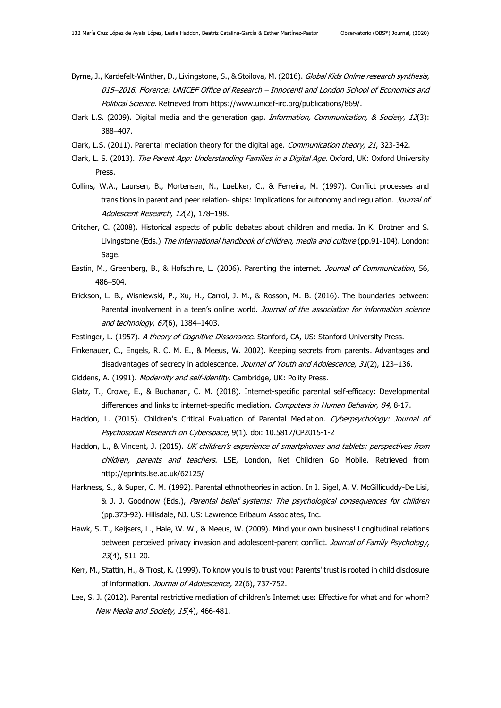- Byrne, J., Kardefelt-Winther, D., Livingstone, S., & Stoilova, M. (2016). Global Kids Online research synthesis, 015–2016. Florence: UNICEF Office of Research – Innocenti and London School of Economics and Political Science. Retrieved from https://www.unicef-irc.org/publications/869/.
- Clark L.S. (2009). Digital media and the generation gap. *Information, Communication, & Society, 12*(3): 388–407.
- Clark, L.S. (2011). Parental mediation theory for the digital age. Communication theory, 21, 323-342.
- Clark, L. S. (2013). The Parent App: Understanding Families in a Digital Age. Oxford, UK: Oxford University Press.
- Collins, W.A., Laursen, B., Mortensen, N., Luebker, C., & Ferreira, M. (1997). Conflict processes and transitions in parent and peer relation- ships: Implications for autonomy and regulation. Journal of Adolescent Research, 12(2), 178-198.
- Critcher, C. (2008). Historical aspects of public debates about children and media. In K. Drotner and S. Livingstone (Eds.) The international handbook of children, media and culture (pp.91-104). London: Sage.
- Eastin, M., Greenberg, B., & Hofschire, L. (2006). Parenting the internet. Journal of Communication, 56, 486–504.
- Erickson, L. B., Wisniewski, P., Xu, H., Carrol, J. M., & Rosson, M. B. (2016). The boundaries between: Parental involvement in a teen's online world. Journal of the association for information science and technology, 67(6), 1384-1403.
- Festinger, L. (1957). A theory of Cognitive Dissonance. Stanford, CA, US: Stanford University Press.
- Finkenauer, C., Engels, R. C. M. E., & Meeus, W. 2002). Keeping secrets from parents. Advantages and disadvantages of secrecy in adolescence. Journal of Youth and Adolescence, 31(2), 123-136.
- Giddens, A. (1991). Modernity and self-identity. Cambridge, UK: Polity Press.
- Glatz, T., Crowe, E., & Buchanan, C. M. (2018). Internet-specific parental self-efficacy: Developmental differences and links to internet-specific mediation. Computers in Human Behavior, 84, 8-17.
- Haddon, L. (2015). Children's Critical Evaluation of Parental Mediation. Cyberpsychology: Journal of Psychosocial Research on Cyberspace, 9(1). doi: 10.5817/CP2015-1-2
- Haddon, L., & Vincent, J. (2015). UK children's experience of smartphones and tablets: perspectives from children, parents and teachers. LSE, London, Net Children Go Mobile. Retrieved from http://eprints.lse.ac.uk/62125/
- Harkness, S., & Super, C. M. (1992). Parental ethnotheories in action. In I. Sigel, A. V. McGillicuddy-De Lisi, & J. J. Goodnow (Eds.), Parental belief systems: The psychological consequences for children (pp.373-92). Hillsdale, NJ, US: Lawrence Erlbaum Associates, Inc.
- Hawk, S. T., Keijsers, L., Hale, W. W., & Meeus, W. (2009). Mind your own business! Longitudinal relations between perceived privacy invasion and adolescent-parent conflict. Journal of Family Psychology, 23(4), 511-20.
- Kerr, M., Stattin, H., & Trost, K. (1999). To know you is to trust you: Parents' trust is rooted in child disclosure of information. Journal of Adolescence, 22(6), 737-752.
- Lee, S. J. (2012). Parental restrictive mediation of children's Internet use: Effective for what and for whom? New Media and Society, 15(4), 466-481.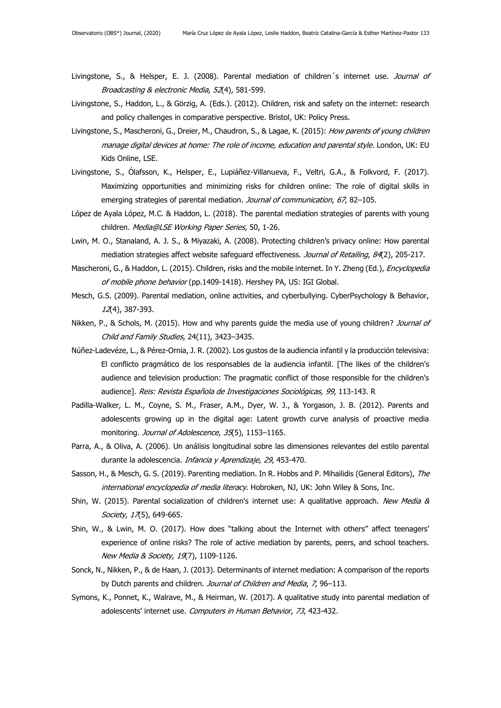- Livingstone, S., & Helsper, E. J. (2008). Parental mediation of children's internet use. Journal of Broadcasting & electronic Media, 52(4), 581-599.
- Livingstone, S., Haddon, L., & Görzig, A. (Eds.). (2012). Children, risk and safety on the internet: research and policy challenges in comparative perspective. Bristol, UK: Policy Press.
- Livingstone, S., Mascheroni, G., Dreier, M., Chaudron, S., & Lagae, K. (2015): How parents of young children manage digital devices at home: The role of income, education and parental style. London, UK: EU Kids Online, LSE.
- Livingstone, S., Ólafsson, K., Helsper, E., Lupiáñez-Villanueva, F., Veltri, G.A., & Folkvord, F. (2017). Maximizing opportunities and minimizing risks for children online: The role of digital skills in emerging strategies of parental mediation. Journal of communication, 67, 82-105.
- López de Ayala López, M.C. & Haddon, L. (2018). The parental mediation strategies of parents with young children. Media@LSE Working Paper Series, 50, 1-26.
- Lwin, M. O., Stanaland, A. J. S., & Miyazaki, A. (2008). Protecting children's privacy online: How parental mediation strategies affect website safeguard effectiveness. Journal of Retailing, 84(2), 205-217.
- Mascheroni, G., & Haddon, L. (2015). Children, risks and the mobile internet. In Y. Zheng (Ed.), *Encyclopedia* of mobile phone behavior (pp.1409-1418). Hershey PA, US: IGI Global.
- Mesch, G.S. (2009). Parental mediation, online activities, and cyberbullying. CyberPsychology & Behavior, 12(4), 387-393.
- Nikken, P., & Schols, M. (2015). How and why parents guide the media use of young children? Journal of Child and Family Studies, 24(11), 3423–3435.
- Núñez-Ladevéze, L., & Pérez-Ornia, J. R. (2002). Los gustos de la audiencia infantil y la producción televisiva: El conflicto pragmático de los responsables de la audiencia infantil. [The likes of the children's audience and television production: The pragmatic conflict of those responsible for the children's audience]. Reis: Revista Española de Investigaciones Sociológicas, 99, 113-143. R
- Padilla-Walker, L. M., Coyne, S. M., Fraser, A.M., Dyer, W. J., & Yorgason, J. B. (2012). Parents and adolescents growing up in the digital age: Latent growth curve analysis of proactive media monitoring. Journal of Adolescence, 35(5), 1153-1165.
- Parra, A., & Oliva, A. (2006). Un análisis longitudinal sobre las dimensiones relevantes del estilo parental durante la adolescencia. Infancia y Aprendizaje, 29, 453-470.
- Sasson, H., & Mesch, G. S. (2019). Parenting mediation. In R. Hobbs and P. Mihailidis (General Editors), The international encyclopedia of media literacy. Hobroken, NJ, UK: John Wiley & Sons, Inc.
- Shin, W. (2015). Parental socialization of children's internet use: A qualitative approach. New Media & Society,  $17(5)$ , 649-665.
- Shin, W., & Lwin, M. O. (2017). How does "talking about the Internet with others" affect teenagers' experience of online risks? The role of active mediation by parents, peers, and school teachers. New Media & Society, 19(7), 1109-1126.
- Sonck, N., Nikken, P., & de Haan, J. (2013). Determinants of internet mediation: A comparison of the reports by Dutch parents and children. Journal of Children and Media, 7, 96-113.
- Symons, K., Ponnet, K., Walrave, M., & Heirman, W. (2017). A qualitative study into parental mediation of adolescents' internet use. Computers in Human Behavior, 73, 423[-432.](http://dx.doi.org/10.1016/j.chb.2017.04.004)